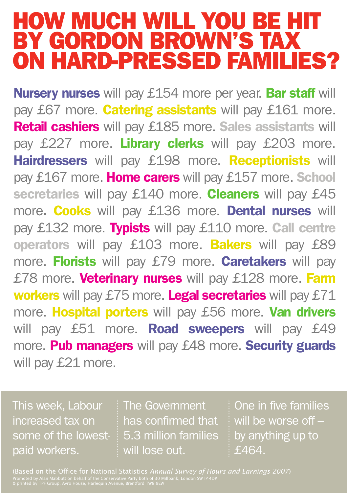## HOW MUCH WILL YOU BE HIT BY GORDON BROWN'S TAX ON HARD-PRESSED FAMILIES?

Nursery nurses will pay £154 more per year. Bar staff will pay £67 more. **Catering assistants** will pay £161 more. Retail cashiers will pay £185 more. Sales assistants will pay £227 more. Library clerks will pay £203 more. Hairdressers will pay £198 more. Receptionists will pay £167 more. Home carers will pay £157 more. School secretaries will pay £140 more. Cleaners will pay £45 more. Cooks will pay £136 more. Dental nurses will pay £132 more. Typists will pay £110 more. Call centre operators will pay £103 more. Bakers will pay £89 more. Florists will pay £79 more. Caretakers will pay £78 more. Veterinary nurses will pay £128 more. Farm workers will pay £75 more. Legal secretaries will pay £71 more. Hospital porters will pay £56 more. Van drivers will pay £51 more. Road sweepers will pay £49 more. Pub managers will pay £48 more. Security guards will pay £21 more.

This week, Labour increased tax on some of the lowestpaid workers.

The Government has confirmed that 5.3 million families will lose out.

One in five families will be worse off by anything up to £464.

(Based on the Office for National Statistics *Annual Survey of Hours and Earnings 2007*) Promoted by Alan Mabbutt on behalf of the Conservative Party both of 30 Millbank, London SW1P 4DP & printed by TPF Group, Avro House, Harlequin Avenue, Brentford TW8 9EW